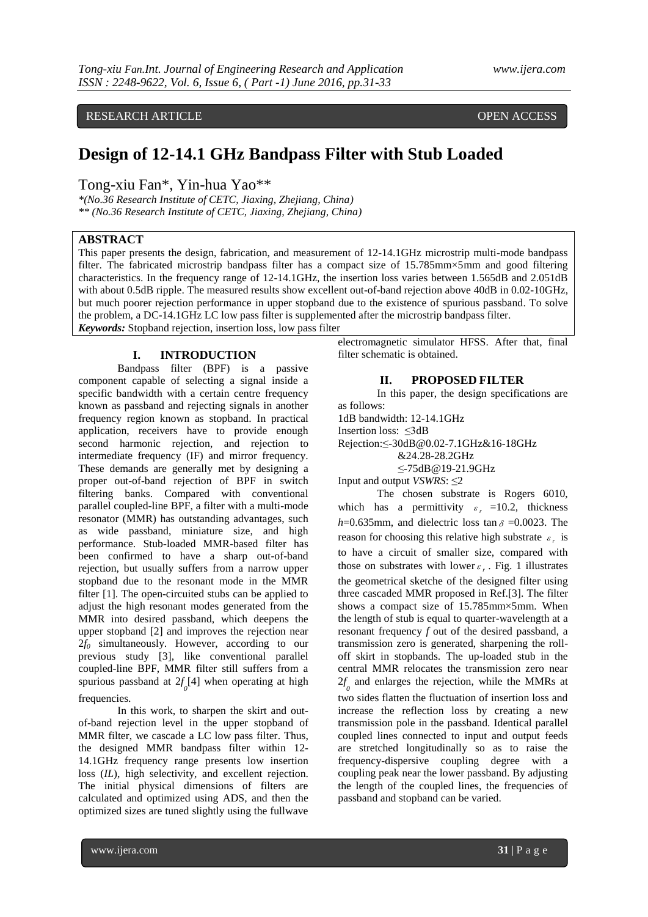# RESEARCH ARTICLE **CONTRACT ARTICLE** AND A SERVICE OPEN ACCESS

# **Design of 12-14.1 GHz Bandpass Filter with Stub Loaded**

Tong-xiu Fan\*, Yin-hua Yao\*\*

*\*(No.36 Research Institute of CETC, Jiaxing, Zhejiang, China) \*\* (No.36 Research Institute of CETC, Jiaxing, Zhejiang, China)*

## **ABSTRACT**

This paper presents the design, fabrication, and measurement of 12-14.1GHz microstrip multi-mode bandpass filter. The fabricated microstrip bandpass filter has a compact size of 15.785mm×5mm and good filtering characteristics. In the frequency range of 12-14.1GHz, the insertion loss varies between 1.565dB and 2.051dB with about 0.5dB ripple. The measured results show excellent out-of-band rejection above 40dB in 0.02-10GHz, but much poorer rejection performance in upper stopband due to the existence of spurious passband. To solve the problem, a DC-14.1GHz LC low pass filter is supplemented after the microstrip bandpass filter. *Keywords:* Stopband rejection, insertion loss, low pass filter

#### **I. INTRODUCTION**

Bandpass filter (BPF) is a passive component capable of selecting a signal inside a specific bandwidth with a certain centre frequency known as passband and rejecting signals in another frequency region known as stopband. In practical application, receivers have to provide enough second harmonic rejection, and rejection to intermediate frequency (IF) and mirror frequency. These demands are generally met by designing a proper out-of-band rejection of BPF in switch filtering banks. Compared with conventional parallel coupled-line BPF, a filter with a multi-mode resonator (MMR) has outstanding advantages, such as wide passband, miniature size, and high performance. Stub-loaded MMR-based filter has been confirmed to have a sharp out-of-band rejection, but usually suffers from a narrow upper stopband due to the resonant mode in the MMR filter [1]. The open-circuited stubs can be applied to adjust the high resonant modes generated from the MMR into desired passband, which deepens the upper stopband [2] and improves the rejection near 2*f<sup>0</sup>* simultaneously. However, according to our previous study [3], like conventional parallel coupled-line BPF, MMR filter still suffers from a spurious passband at  $2f_0[4]$  when operating at high frequencies.

In this work, to sharpen the skirt and outof-band rejection level in the upper stopband of MMR filter, we cascade a LC low pass filter. Thus, the designed MMR bandpass filter within 12- 14.1GHz frequency range presents low insertion loss (*IL*), high selectivity, and excellent rejection. The initial physical dimensions of filters are calculated and optimized using ADS, and then the optimized sizes are tuned slightly using the fullwave

electromagnetic simulator HFSS. After that, final filter schematic is obtained.

## **II. PROPOSED FILTER**

In this paper, the design specifications are as follows:

1dB bandwidth: 12-14.1GHz

Insertion loss: ≤3dB

Rejection:≤-30dB@0.02-7.1GHz&16-18GHz

&24.28-28.2GHz

≤-75dB@19-21.9GHz

Input and output *VSWRS*: ≤2

The chosen substrate is Rogers 6010, which has a permittivity  $\varepsilon_r = 10.2$ , thickness  $h=0.635$ mm, and dielectric loss tan  $\delta = 0.0023$ . The reason for choosing this relative high substrate  $\varepsilon_r$  is to have a circuit of smaller size, compared with those on substrates with lower  $\varepsilon_r$ . Fig. 1 illustrates the geometrical sketche of the designed filter using three cascaded MMR proposed in Ref.[3]. The filter shows a compact size of 15.785mm×5mm. When the length of stub is equal to quarter-wavelength at a resonant frequency *f* out of the desired passband, a transmission zero is generated, sharpening the rolloff skirt in stopbands. The up-loaded stub in the central MMR relocates the transmission zero near  $2f$ <sub>0</sub> and enlarges the rejection, while the MMRs at two sides flatten the fluctuation of insertion loss and increase the reflection loss by creating a new transmission pole in the passband. Identical parallel coupled lines connected to input and output feeds are stretched longitudinally so as to raise the frequency-dispersive coupling degree with a coupling peak near the lower passband. By adjusting the length of the coupled lines, the frequencies of passband and stopband can be varied.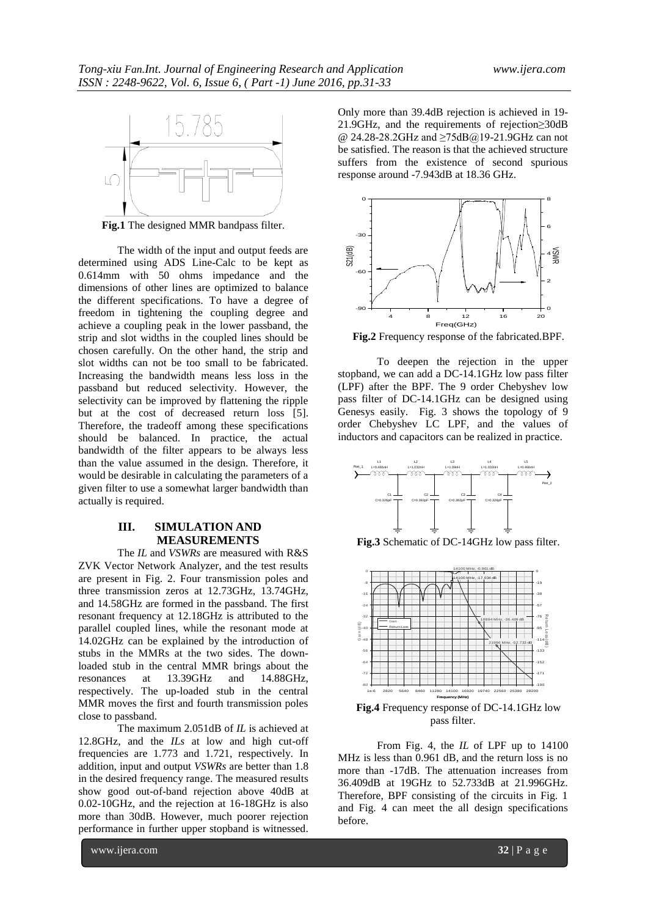

**Fig.1** The designed MMR bandpass filter.

The width of the input and output feeds are determined using ADS Line-Calc to be kept as 0.614mm with 50 ohms impedance and the dimensions of other lines are optimized to balance the different specifications. To have a degree of freedom in tightening the coupling degree and achieve a coupling peak in the lower passband, the strip and slot widths in the coupled lines should be chosen carefully. On the other hand, the strip and slot widths can not be too small to be fabricated. Increasing the bandwidth means less loss in the passband but reduced selectivity. However, the selectivity can be improved by flattening the ripple but at the cost of decreased return loss [5]. Therefore, the tradeoff among these specifications should be balanced. In practice, the actual bandwidth of the filter appears to be always less than the value assumed in the design. Therefore, it would be desirable in calculating the parameters of a given filter to use a somewhat larger bandwidth than actually is required.

# **III. SIMULATION AND MEASUREMENTS**

The *IL* and *VSWRs* are measured with R&S ZVK Vector Network Analyzer, and the test results are present in Fig. 2. Four transmission poles and three transmission zeros at 12.73GHz, 13.74GHz, and 14.58GHz are formed in the passband. The first resonant frequency at 12.18GHz is attributed to the parallel coupled lines, while the resonant mode at 14.02GHz can be explained by the introduction of stubs in the MMRs at the two sides. The downloaded stub in the central MMR brings about the resonances at 13.39GHz and 14.88GHz, respectively. The up-loaded stub in the central MMR moves the first and fourth transmission poles close to passband.

The maximum 2.051dB of *IL* is achieved at 12.8GHz, and the *ILs* at low and high cut-off frequencies are 1.773 and 1.721, respectively. In addition, input and output *VSWRs* are better than 1.8 in the desired frequency range. The measured results show good out-of-band rejection above 40dB at 0.02-10GHz, and the rejection at 16-18GHz is also more than 30dB. However, much poorer rejection performance in further upper stopband is witnessed.

Only more than 39.4dB rejection is achieved in 19- 21.9GHz, and the requirements of rejection≥30dB @ 24.28-28.2GHz and ≥75dB@19-21.9GHz can not be satisfied. The reason is that the achieved structure suffers from the existence of second spurious response around -7.943dB at 18.36 GHz.



**Fig.2** Frequency response of the fabricated.BPF.

To deepen the rejection in the upper stopband, we can add a DC-14.1GHz low pass filter (LPF) after the BPF. The 9 order Chebyshev low pass filter of DC-14.1GHz can be designed using Genesys easily. Fig. 3 shows the topology of 9 order Chebyshev LC LPF, and the values of inductors and capacitors can be realized in practice.



**Fig.3** Schematic of DC-14GHz low pass filter.



**Fig.4** Frequency response of DC-14.1GHz low pass filter.

From Fig. 4, the *IL* of LPF up to 14100 MHz is less than 0.961 dB, and the return loss is no more than -17dB. The attenuation increases from 36.409dB at 19GHz to 52.733dB at 21.996GHz. Therefore, BPF consisting of the circuits in Fig. 1 and Fig. 4 can meet the all design specifications before.